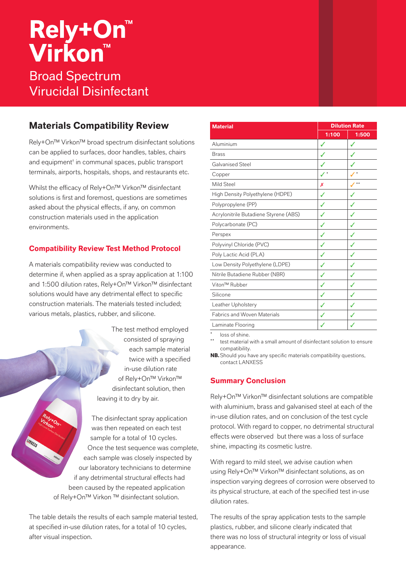# **Rely+On™ Virkon™** Broad Spectrum Virucidal Disinfectant

# **Materials Compatibility Review**

Rely+On™ Virkon™ broad spectrum disinfectant solutions can be applied to surfaces, door handles, tables, chairs and equipment† in communal spaces, public transport terminals, airports, hospitals, shops, and restaurants etc.

Whilst the efficacy of Rely+On™ Virkon™ disinfectant solutions is first and foremost, questions are sometimes asked about the physical effects, if any, on common construction materials used in the application environments.

## **Compatibility Review Test Method Protocol**

A materials compatibility review was conducted to determine if, when applied as a spray application at 1:100 and 1:500 dilution rates, Rely+On™ Virkon™ disinfectant solutions would have any detrimental effect to specific construction materials. The materials tested included; various metals, plastics, rubber, and silicone.

> The test method employed consisted of spraying each sample material twice with a specified in-use dilution rate of Rely+On™ Virkon™ disinfectant solution, then leaving it to dry by air.

The disinfectant spray application was then repeated on each test sample for a total of 10 cycles. Once the test sequence was complete, each sample was closely inspected by our laboratory technicians to determine if any detrimental structural effects had been caused by the repeated application of Rely+On™ Virkon ™ disinfectant solution.

The table details the results of each sample material tested, at specified in-use dilution rates, for a total of 10 cycles, after visual inspection.

| <b>Material</b>                       | <b>Dilution Rate</b> |              |
|---------------------------------------|----------------------|--------------|
|                                       | 1:100                | 1:500        |
| Aluminium                             | ✓                    | ✓            |
| <b>Brass</b>                          | ✓                    | ✓            |
| <b>Galvanised Steel</b>               |                      |              |
| Copper                                |                      |              |
| Mild Steel                            | Х                    | $\star\star$ |
| High Density Polyethylene (HDPE)      | ✓                    | ✓            |
| Polypropylene (PP)                    | ✓                    | ✓            |
| Acrylonitrile Butadiene Styrene (ABS) | J                    | ✓            |
| Polycarbonate (PC)                    | ✓                    |              |
| Perspex                               | ✓                    | J            |
| Polyvinyl Chloride (PVC)              | ✓                    | ✓            |
| Poly Lactic Acid (PLA)                | ✓                    | ✓            |
| Low Density Polyethylene (LDPE)       | ✓                    |              |
| Nitrile Butadiene Rubber (NBR)        | ✓                    | ✓            |
| Viton <sup>™</sup> Rubber             | $\checkmark$         | ✓            |
| Silicone                              | J                    | ✓            |
| Leather Upholstery                    |                      |              |
| <b>Fabrics and Woven Materials</b>    | ✓                    |              |
| Laminate Flooring                     |                      |              |

loss of shine.

test material with a small amount of disinfectant solution to ensure compatibility.

**NB.**Should you have any specific materials compatibility questions, contact LANXESS

## **Summary Conclusion**

Rely+On™ Virkon™ disinfectant solutions are compatible with aluminium, brass and galvanised steel at each of the in-use dilution rates, and on conclusion of the test cycle protocol. With regard to copper, no detrimental structural effects were observed but there was a loss of surface shine, impacting its cosmetic lustre.

With regard to mild steel, we advise caution when using Rely+On™ Virkon™ disinfectant solutions, as on inspection varying degrees of corrosion were observed to its physical structure, at each of the specified test in-use dilution rates.

The results of the spray application tests to the sample plastics, rubber, and silicone clearly indicated that there was no loss of structural integrity or loss of visual appearance.